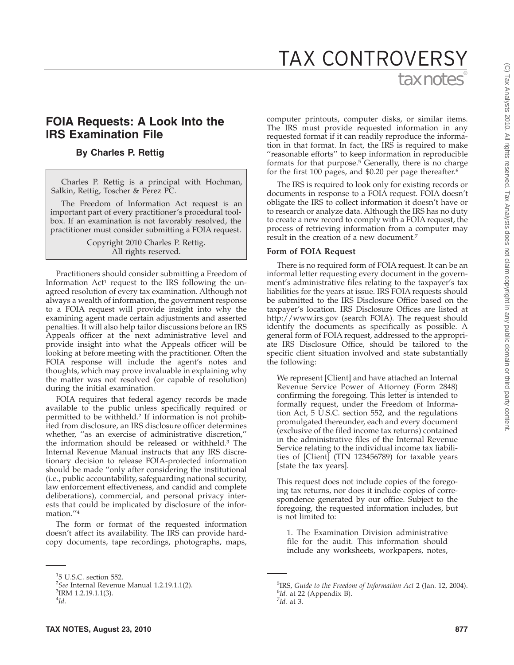# tax notes® TAX CONTROVERSY

## **FOIA Requests: A Look Into the IRS Examination File**

## **By Charles P. Rettig**

Charles P. Rettig is a principal with Hochman, Salkin, Rettig, Toscher & Perez PC.

The Freedom of Information Act request is an important part of every practitioner's procedural toolbox. If an examination is not favorably resolved, the practitioner must consider submitting a FOIA request.

> Copyright 2010 Charles P. Rettig. All rights reserved.

Practitioners should consider submitting a Freedom of Information Act<sup>1</sup> request to the IRS following the unagreed resolution of every tax examination. Although not always a wealth of information, the government response to a FOIA request will provide insight into why the examining agent made certain adjustments and asserted penalties. It will also help tailor discussions before an IRS Appeals officer at the next administrative level and provide insight into what the Appeals officer will be looking at before meeting with the practitioner. Often the FOIA response will include the agent's notes and thoughts, which may prove invaluable in explaining why the matter was not resolved (or capable of resolution) during the initial examination.

FOIA requires that federal agency records be made available to the public unless specifically required or permitted to be withheld.2 If information is not prohibited from disclosure, an IRS disclosure officer determines whether, ''as an exercise of administrative discretion,'' the information should be released or withheld.3 The Internal Revenue Manual instructs that any IRS discretionary decision to release FOIA-protected information should be made ''only after considering the institutional (i.e., public accountability, safeguarding national security, law enforcement effectiveness, and candid and complete deliberations), commercial, and personal privacy interests that could be implicated by disclosure of the information.''4

The form or format of the requested information doesn't affect its availability. The IRS can provide hardcopy documents, tape recordings, photographs, maps,

computer printouts, computer disks, or similar items. The IRS must provide requested information in any requested format if it can readily reproduce the information in that format. In fact, the IRS is required to make ''reasonable efforts'' to keep information in reproducible formats for that purpose.<sup>5</sup> Generally, there is no charge for the first 100 pages, and \$0.20 per page thereafter.<sup>6</sup>

The IRS is required to look only for existing records or documents in response to a FOIA request. FOIA doesn't obligate the IRS to collect information it doesn't have or to research or analyze data. Although the IRS has no duty to create a new record to comply with a FOIA request, the process of retrieving information from a computer may result in the creation of a new document.7

#### **Form of FOIA Request**

There is no required form of FOIA request. It can be an informal letter requesting every document in the government's administrative files relating to the taxpayer's tax liabilities for the years at issue. IRS FOIA requests should be submitted to the IRS Disclosure Office based on the taxpayer's location. IRS Disclosure Offices are listed at http://www.irs.gov (search FOIA). The request should identify the documents as specifically as possible. A general form of FOIA request, addressed to the appropriate IRS Disclosure Office, should be tailored to the specific client situation involved and state substantially the following:

We represent [Client] and have attached an Internal Revenue Service Power of Attorney (Form 2848) confirming the foregoing. This letter is intended to formally request, under the Freedom of Information Act, 5 U.S.C. section 552, and the regulations promulgated thereunder, each and every document (exclusive of the filed income tax returns) contained in the administrative files of the Internal Revenue Service relating to the individual income tax liabilities of [Client] (TIN 123456789) for taxable years [state the tax years].

This request does not include copies of the foregoing tax returns, nor does it include copies of correspondence generated by our office. Subject to the foregoing, the requested information includes, but is not limited to:

1. The Examination Division administrative file for the audit. This information should include any worksheets, workpapers, notes,

<sup>1</sup> 5 U.S.C. section 552.

<sup>&</sup>lt;sup>2</sup>*See* Internal Revenue Manual 1.2.19.1.1(2).<br><sup>3</sup>IRM 1 2 19 1 1(3)

 ${}^{3}$ IRM 1.2.19.1.1(3).

<sup>4</sup> *Id.*

<sup>&</sup>lt;sup>5</sup>IRS, *Guide to the Freedom of Information Act* 2 (Jan. 12, 2004). <sup>6</sup>Id. at 22 (Appendix B). *Id.* at 3.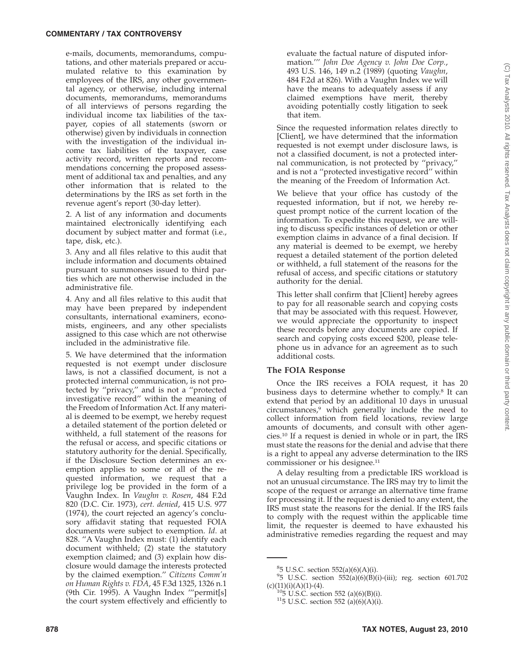e-mails, documents, memorandums, computations, and other materials prepared or accumulated relative to this examination by employees of the IRS, any other governmental agency, or otherwise, including internal documents, memorandums, memorandums of all interviews of persons regarding the individual income tax liabilities of the taxpayer, copies of all statements (sworn or otherwise) given by individuals in connection with the investigation of the individual income tax liabilities of the taxpayer, case activity record, written reports and recommendations concerning the proposed assessment of additional tax and penalties, and any other information that is related to the determinations by the IRS as set forth in the revenue agent's report (30-day letter).

2. A list of any information and documents maintained electronically identifying each document by subject matter and format (i.e., tape, disk, etc.).

3. Any and all files relative to this audit that include information and documents obtained pursuant to summonses issued to third parties which are not otherwise included in the administrative file.

4. Any and all files relative to this audit that may have been prepared by independent consultants, international examiners, economists, engineers, and any other specialists assigned to this case which are not otherwise included in the administrative file.

5. We have determined that the information requested is not exempt under disclosure laws, is not a classified document, is not a protected internal communication, is not protected by ''privacy,'' and is not a ''protected investigative record'' within the meaning of the Freedom of Information Act. If any material is deemed to be exempt, we hereby request a detailed statement of the portion deleted or withheld, a full statement of the reasons for the refusal or access, and specific citations or statutory authority for the denial. Specifically, if the Disclosure Section determines an exemption applies to some or all of the requested information, we request that a privilege log be provided in the form of a Vaughn Index. In *Vaughn v. Rosen*, 484 F.2d 820 (D.C. Cir. 1973), *cert. denied*, 415 U.S. 977 (1974), the court rejected an agency's conclusory affidavit stating that requested FOIA documents were subject to exemption. *Id*. at 828. ''A Vaughn Index must: (1) identify each document withheld; (2) state the statutory exemption claimed; and (3) explain how disclosure would damage the interests protected by the claimed exemption.'' *Citizens Comm'n on Human Rights v. FDA*, 45 F.3d 1325, 1326 n.1 (9th Cir. 1995). A Vaughn Index '''permit[s] the court system effectively and efficiently to

evaluate the factual nature of disputed information.''' *John Doe Agency v. John Doe Corp.*, 493 U.S. 146, 149 n.2 (1989) (quoting *Vaughn*, 484 F.2d at 826). With a Vaughn Index we will have the means to adequately assess if any claimed exemptions have merit, thereby avoiding potentially costly litigation to seek that item.

Since the requested information relates directly to [Client], we have determined that the information requested is not exempt under disclosure laws, is not a classified document, is not a protected internal communication, is not protected by ''privacy,'' and is not a ''protected investigative record'' within the meaning of the Freedom of Information Act.

We believe that your office has custody of the requested information, but if not, we hereby request prompt notice of the current location of the information. To expedite this request, we are willing to discuss specific instances of deletion or other exemption claims in advance of a final decision. If any material is deemed to be exempt, we hereby request a detailed statement of the portion deleted or withheld, a full statement of the reasons for the refusal of access, and specific citations or statutory authority for the denial.

This letter shall confirm that [Client] hereby agrees to pay for all reasonable search and copying costs that may be associated with this request. However, we would appreciate the opportunity to inspect these records before any documents are copied. If search and copying costs exceed \$200, please telephone us in advance for an agreement as to such additional costs.

## **The FOIA Response**

Once the IRS receives a FOIA request, it has 20 business days to determine whether to comply.8 It can extend that period by an additional 10 days in unusual circumstances,9 which generally include the need to collect information from field locations, review large amounts of documents, and consult with other agencies.10 If a request is denied in whole or in part, the IRS must state the reasons for the denial and advise that there is a right to appeal any adverse determination to the IRS commissioner or his designee.11

A delay resulting from a predictable IRS workload is not an unusual circumstance. The IRS may try to limit the scope of the request or arrange an alternative time frame for processing it. If the request is denied to any extent, the IRS must state the reasons for the denial. If the IRS fails to comply with the request within the applicable time limit, the requester is deemed to have exhausted his administrative remedies regarding the request and may

 ${}^{8}$ 5 U.S.C. section 552(a)(6)(A)(i).

<sup>9</sup> 5 U.S.C. section 552(a)(6)(B)(i)-(iii); reg. section 601.702 (c)(11)(i)(A)(1)-(4). <sup>10</sup>5 U.S.C. section 552 (a)(6)(B)(i). <sup>11</sup>5 U.S.C. section 552 (a)(6)(A)(i).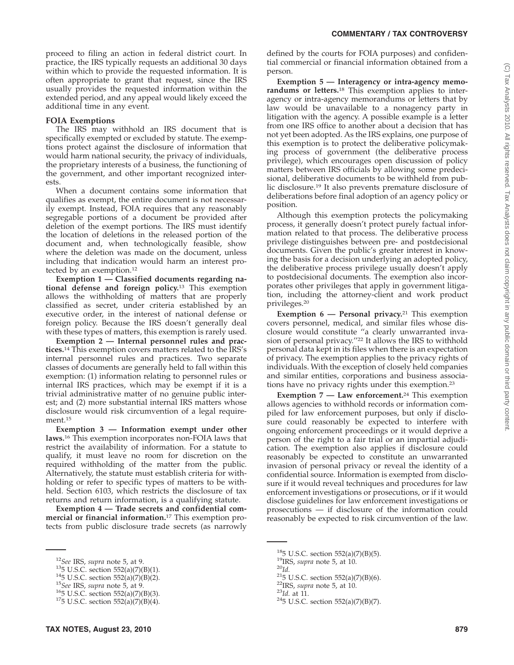proceed to filing an action in federal district court. In practice, the IRS typically requests an additional 30 days within which to provide the requested information. It is often appropriate to grant that request, since the IRS usually provides the requested information within the extended period, and any appeal would likely exceed the additional time in any event.

## **FOIA Exemptions**

The IRS may withhold an IRS document that is specifically exempted or excluded by statute. The exemptions protect against the disclosure of information that would harm national security, the privacy of individuals, the proprietary interests of a business, the functioning of the government, and other important recognized interests.

When a document contains some information that qualifies as exempt, the entire document is not necessarily exempt. Instead, FOIA requires that any reasonably segregable portions of a document be provided after deletion of the exempt portions. The IRS must identify the location of deletions in the released portion of the document and, when technologically feasible, show where the deletion was made on the document, unless including that indication would harm an interest protected by an exemption.12

**Exemption 1 — Classified documents regarding national defense and foreign policy.**<sup>13</sup> This exemption allows the withholding of matters that are properly classified as secret, under criteria established by an executive order, in the interest of national defense or foreign policy. Because the IRS doesn't generally deal with these types of matters, this exemption is rarely used.

**Exemption 2 — Internal personnel rules and practices.**<sup>14</sup> This exemption covers matters related to the IRS's internal personnel rules and practices. Two separate classes of documents are generally held to fall within this exemption: (1) information relating to personnel rules or internal IRS practices, which may be exempt if it is a trivial administrative matter of no genuine public interest; and (2) more substantial internal IRS matters whose disclosure would risk circumvention of a legal requirement.15

**Exemption 3 — Information exempt under other laws.**<sup>16</sup> This exemption incorporates non-FOIA laws that restrict the availability of information. For a statute to qualify, it must leave no room for discretion on the required withholding of the matter from the public. Alternatively, the statute must establish criteria for withholding or refer to specific types of matters to be withheld. Section 6103, which restricts the disclosure of tax returns and return information, is a qualifying statute.

Exemption 4 – Trade secrets and confidential com**mercial or financial information.**<sup>17</sup> This exemption protects from public disclosure trade secrets (as narrowly defined by the courts for FOIA purposes) and confidential commercial or financial information obtained from a person.

**Exemption 5 — Interagency or intra-agency memorandums or letters.**<sup>18</sup> This exemption applies to interagency or intra-agency memorandums or letters that by law would be unavailable to a nonagency party in litigation with the agency. A possible example is a letter from one IRS office to another about a decision that has not yet been adopted. As the IRS explains, one purpose of this exemption is to protect the deliberative policymaking process of government (the deliberative process privilege), which encourages open discussion of policy matters between IRS officials by allowing some predecisional, deliberative documents to be withheld from public disclosure.19 It also prevents premature disclosure of deliberations before final adoption of an agency policy or position.

Although this exemption protects the policymaking process, it generally doesn't protect purely factual information related to that process. The deliberative process privilege distinguishes between pre- and postdecisional documents. Given the public's greater interest in knowing the basis for a decision underlying an adopted policy, the deliberative process privilege usually doesn't apply to postdecisional documents. The exemption also incorporates other privileges that apply in government litigation, including the attorney-client and work product privileges.20

**Exemption 6 — Personal privacy.**<sup>21</sup> This exemption covers personnel, medical, and similar files whose disclosure would constitute ''a clearly unwarranted invasion of personal privacy.''22 It allows the IRS to withhold personal data kept in its files when there is an expectation of privacy. The exemption applies to the privacy rights of individuals. With the exception of closely held companies and similar entities, corporations and business associations have no privacy rights under this exemption.23

**Exemption 7 — Law enforcement.**<sup>24</sup> This exemption allows agencies to withhold records or information compiled for law enforcement purposes, but only if disclosure could reasonably be expected to interfere with ongoing enforcement proceedings or it would deprive a person of the right to a fair trial or an impartial adjudication. The exemption also applies if disclosure could reasonably be expected to constitute an unwarranted invasion of personal privacy or reveal the identity of a confidential source. Information is exempted from disclosure if it would reveal techniques and procedures for law enforcement investigations or prosecutions, or if it would disclose guidelines for law enforcement investigations or prosecutions — if disclosure of the information could reasonably be expected to risk circumvention of the law.

<sup>&</sup>lt;sup>12</sup>*See* IRS, *supra* note 5, at 9.<br><sup>13</sup>5 U.S.C. section 552(a)(7)(B)(1).<br><sup>14</sup>5 U.S.C. section 552(a)(7)(B)(2).<br><sup>15</sup>*See* IRS, *supra* note 5, at 9.<br><sup>16</sup>5 U.S.C. section 552(a)(7)(B)(3).<br><sup>17</sup>5 U.S.C. section 552(a)(7)(B)

<sup>&</sup>lt;sup>18</sup>5 U.S.C. section 552(a)(7)(B)(5).<br><sup>19</sup>IRS, *supra* note 5, at 10.<br><sup>20</sup>*Id.*<br><sup>21</sup>5 U.S.C. section 552(a)(7)(B)(6).<br><sup>22</sup>IRS, *supra* note 5, at 10.<br><sup>23</sup>*Id.* at 11.<br><sup>24</sup>5 U.S.C. section 552(a)(7)(B)(7).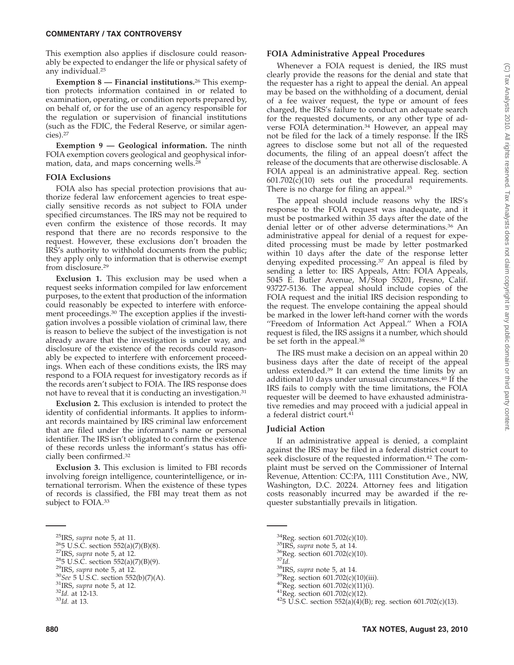#### **COMMENTARY / TAX CONTROVERSY**

This exemption also applies if disclosure could reasonably be expected to endanger the life or physical safety of any individual.25

**Exemption 8 — Financial institutions.**<sup>26</sup> This exemption protects information contained in or related to examination, operating, or condition reports prepared by, on behalf of, or for the use of an agency responsible for the regulation or supervision of financial institutions (such as the FDIC, the Federal Reserve, or similar agencies).27

**Exemption 9 — Geological information.** The ninth FOIA exemption covers geological and geophysical information, data, and maps concerning wells.<sup>28</sup>

#### **FOIA Exclusions**

FOIA also has special protection provisions that authorize federal law enforcement agencies to treat especially sensitive records as not subject to FOIA under specified circumstances. The IRS may not be required to even confirm the existence of those records. It may respond that there are no records responsive to the request. However, these exclusions don't broaden the IRS's authority to withhold documents from the public; they apply only to information that is otherwise exempt from disclosure.29

**Exclusion 1.** This exclusion may be used when a request seeks information compiled for law enforcement purposes, to the extent that production of the information could reasonably be expected to interfere with enforcement proceedings.30 The exception applies if the investigation involves a possible violation of criminal law, there is reason to believe the subject of the investigation is not already aware that the investigation is under way, and disclosure of the existence of the records could reasonably be expected to interfere with enforcement proceedings. When each of these conditions exists, the IRS may respond to a FOIA request for investigatory records as if the records aren't subject to FOIA. The IRS response does not have to reveal that it is conducting an investigation.31

**Exclusion 2.** This exclusion is intended to protect the identity of confidential informants. It applies to informant records maintained by IRS criminal law enforcement that are filed under the informant's name or personal identifier. The IRS isn't obligated to confirm the existence of these records unless the informant's status has officially been confirmed.32

**Exclusion 3.** This exclusion is limited to FBI records involving foreign intelligence, counterintelligence, or international terrorism. When the existence of these types of records is classified, the FBI may treat them as not subject to FOIA.<sup>33</sup>

#### **FOIA Administrative Appeal Procedures**

Whenever a FOIA request is denied, the IRS must clearly provide the reasons for the denial and state that the requester has a right to appeal the denial. An appeal may be based on the withholding of a document, denial of a fee waiver request, the type or amount of fees charged, the IRS's failure to conduct an adequate search for the requested documents, or any other type of adverse FOIA determination.<sup>34</sup> However, an appeal may not be filed for the lack of a timely response. If the IRS agrees to disclose some but not all of the requested documents, the filing of an appeal doesn't affect the release of the documents that are otherwise disclosable. A FOIA appeal is an administrative appeal. Reg. section  $601.702(c)(10)$  sets out the procedural requirements. There is no charge for filing an appeal.35

The appeal should include reasons why the IRS's response to the FOIA request was inadequate, and it must be postmarked within 35 days after the date of the denial letter or of other adverse determinations.36 An administrative appeal for denial of a request for expedited processing must be made by letter postmarked within 10 days after the date of the response letter denying expedited processing.37 An appeal is filed by sending a letter to: IRS Appeals, Attn: FOIA Appeals, 5045 E. Butler Avenue, M/Stop 55201, Fresno, Calif. 93727-5136. The appeal should include copies of the FOIA request and the initial IRS decision responding to the request. The envelope containing the appeal should be marked in the lower left-hand corner with the words "Freedom of Information Act Appeal." When a FOIA request is filed, the IRS assigns it a number, which should be set forth in the appeal.<sup>38</sup>

The IRS must make a decision on an appeal within 20 business days after the date of receipt of the appeal unless extended.39 It can extend the time limits by an additional 10 days under unusual circumstances.40 If the IRS fails to comply with the time limitations, the FOIA requester will be deemed to have exhausted administrative remedies and may proceed with a judicial appeal in a federal district court.41

#### **Judicial Action**

If an administrative appeal is denied, a complaint against the IRS may be filed in a federal district court to seek disclosure of the requested information.<sup>42</sup> The complaint must be served on the Commissioner of Internal Revenue, Attention: CC:PA, 1111 Constitution Ave., NW, Washington, D.C. 20224. Attorney fees and litigation costs reasonably incurred may be awarded if the requester substantially prevails in litigation.

- 
- 
- 
- 
- 
- 
- 

<sup>34</sup>Reg. section 601.702(c)(10).<br><sup>35</sup>IRS, *supra* note 5, at 14.<br><sup>36</sup>Reg. section 601.702(c)(10).<br><sup>37</sup>Id.<br><sup>38</sup>IRS, *supra* note 5, at 14.<br><sup>39</sup>Reg. section 601.702(c)(10)(iii).<br><sup>40</sup>Reg. section 601.702(c)(11)(i).<br><sup>41</sup>Reg.

<sup>&</sup>lt;sup>25</sup>IRS, *supra* note 5, at 11.<br>
<sup>26</sup>5 U.S.C. section 552(a)(7)(B)(8).<br>
<sup>27</sup>IRS, *supra* note 5, at 12.<br>
<sup>28</sup>5 U.S.C. section 552(a)(7)(B)(9).<br>
<sup>29</sup>IRS, *supra* note 5, at 12.<br>
<sup>30</sup>*See* 5 U.S.C. section 552(b)(7)(A).<br>
<sup>3</sup>